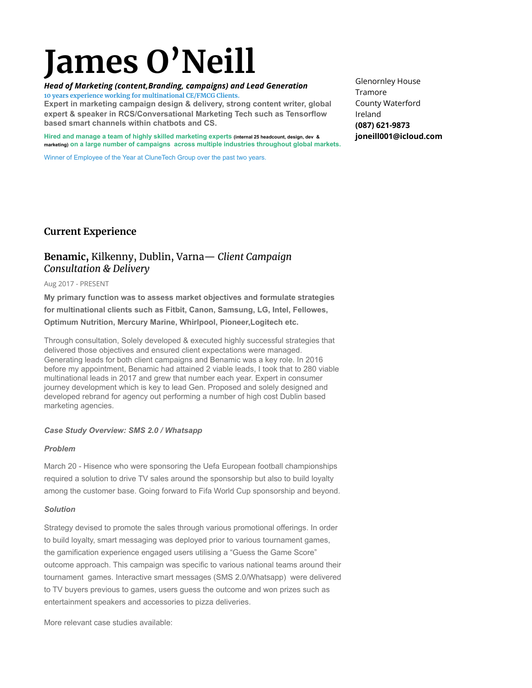# **James O'Neill**

*Head of Marketing (content,Branding, campaigns) and Lead Generation* **10 years experience working for multinational CE/FMCG Clients. Expert in marketing campaign design & delivery, strong content writer, global**

**expert & speaker in RCS/Conversational Marketing Tech such as Tensorflow based smart channels within chatbots and CS.**

**Hired and manage a team of highly skilled marketing experts (internal 25 headcount, design, dev & marketing) on a large number of campaigns across multiple industries throughout global markets.**

Winner of Employee of the Year at CluneTech Group over the past two years.

Glenornley House Tramore County Waterford Ireland **(087) 621-9873 joneill001@icloud.com**

## **Current Experience**

# **Benamic,** Kilkenny, Dublin, Varna— *Client Campaign Consultation & Delivery*

#### Aug 2017 - PRESENT

**My primary function was to assess market objectives and formulate strategies for multinational clients such as Fitbit, Canon, Samsung, LG, Intel, Fellowes, Optimum Nutrition, Mercury Marine, Whirlpool, Pioneer,Logitech etc.**

Through consultation, Solely developed & executed highly successful strategies that delivered those objectives and ensured client expectations were managed. Generating leads for both client campaigns and Benamic was a key role. In 2016 before my appointment, Benamic had attained 2 viable leads, I took that to 280 viable multinational leads in 2017 and grew that number each year. Expert in consumer journey development which is key to lead Gen. Proposed and solely designed and developed rebrand for agency out performing a number of high cost Dublin based marketing agencies.

#### *Case Study Overview: SMS 2.0 / Whatsapp*

#### *Problem*

March 20 - Hisence who were sponsoring the Uefa European football championships required a solution to drive TV sales around the sponsorship but also to build loyalty among the customer base. Going forward to Fifa World Cup sponsorship and beyond.

#### *Solution*

Strategy devised to promote the sales through various promotional offerings. In order to build loyalty, smart messaging was deployed prior to various tournament games, the gamification experience engaged users utilising a "Guess the Game Score" outcome approach. This campaign was specific to various national teams around their tournament games. Interactive smart messages (SMS 2.0/Whatsapp) were delivered to TV buyers previous to games, users guess the outcome and won prizes such as entertainment speakers and accessories to pizza deliveries.

More relevant case studies available: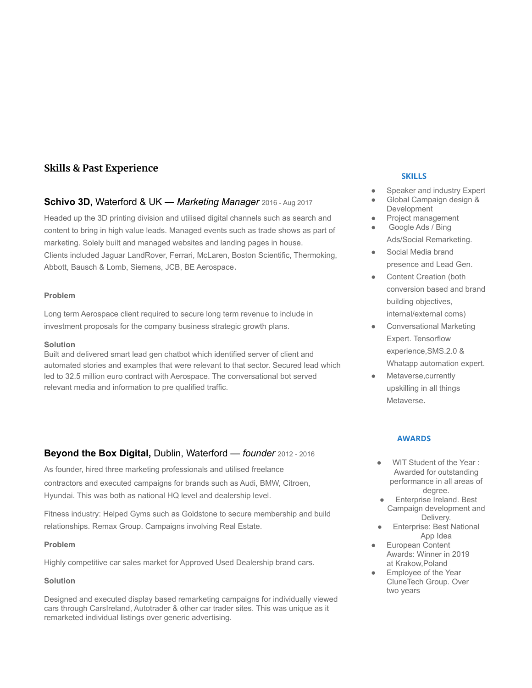# **Skills & Past Experience**

## **Schivo 3D,** Waterford & UK — *Marketing Manager* 2016 - Aug 2017

Headed up the 3D printing division and utilised digital channels such as search and content to bring in high value leads. Managed events such as trade shows as part of marketing. Solely built and managed websites and landing pages in house. Clients included Jaguar LandRover, Ferrari, McLaren, Boston Scientific, Thermoking, Abbott, Bausch & Lomb, Siemens, JCB, BE Aerospace.

#### **Problem**

Long term Aerospace client required to secure long term revenue to include in investment proposals for the company business strategic growth plans.

#### **Solution**

Built and delivered smart lead gen chatbot which identified server of client and automated stories and examples that were relevant to that sector. Secured lead which led to 32.5 million euro contract with Aerospace. The conversational bot served relevant media and information to pre qualified traffic.

# **Beyond the Box Digital,** Dublin, Waterford — *founder* 2012 - 2016

As founder, hired three marketing professionals and utilised freelance contractors and executed campaigns for brands such as Audi, BMW, Citroen, Hyundai. This was both as national HQ level and dealership level.

Fitness industry: Helped Gyms such as Goldstone to secure membership and build relationships. Remax Group. Campaigns involving Real Estate.

#### **Problem**

Highly competitive car sales market for Approved Used Dealership brand cars.

#### **Solution**

Designed and executed display based remarketing campaigns for individually viewed cars through CarsIreland, Autotrader & other car trader sites. This was unique as it remarketed individual listings over generic advertising.

## **SKILLS**

- Speaker and industry Expert
- Global Campaign design & Development
- Project management
- Google Ads / Bing Ads/Social Remarketing.
- Social Media brand presence and Lead Gen.
- **Content Creation (both** conversion based and brand building objectives, internal/external coms)
- Conversational Marketing Expert. Tensorflow experience,SMS.2.0 & Whatapp automation expert.
- Metaverse, currently upskilling in all things Metaverse.

#### **AWARDS**

- WIT Student of the Year : Awarded for outstanding performance in all areas of degree.
- **Enterprise Ireland. Best** Campaign development and Delivery.
- **Enterprise: Best National** App Idea
- **European Content** Awards: Winner in 2019 at Krakow,Poland
- Employee of the Year CluneTech Group. Over two years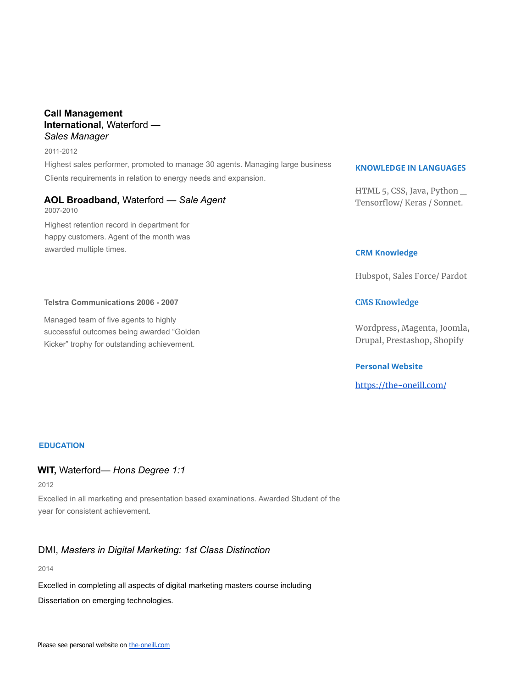## **Call Management International,** Waterford — *Sales Manager*

#### 2011-2012

Highest sales performer, promoted to manage 30 agents. Managing large business Clients requirements in relation to energy needs and expansion.

## **AOL Broadband,** Waterford — *Sale Agent*

2007-2010 Highest retention record in department for happy customers. Agent of the month was awarded multiple times.

## **Telstra Communications 2006 - 2007**

Managed team of five agents to highly successful outcomes being awarded "Golden Kicker" trophy for outstanding achievement.

## **KNOWLEDGE IN LANGUAGES**

HTML 5, CSS, Java, Python \_ Tensorflow/ Keras / Sonnet.

## **CRM Knowledge**

Hubspot, Sales Force/ Pardot

## **CMS Knowledge**

Wordpress, Magenta, Joomla, Drupal, Prestashop, Shopify

## **Personal Website**

<https://the-oneill.com/>

## **EDUCATION**

## **WIT,** Waterford— *Hons Degree 1:1*

2012

Excelled in all marketing and presentation based examinations. Awarded Student of the year for consistent achievement.

# DMI, *Masters in Digital Marketing: 1st Class Distinction*

2014

Excelled in completing all aspects of digital marketing masters course including Dissertation on emerging technologies.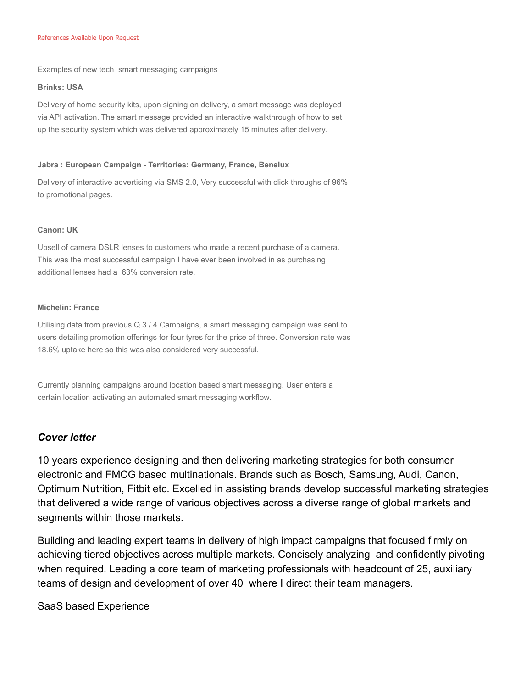#### References Available Upon Request

Examples of new tech smart messaging campaigns

#### **Brinks: USA**

Delivery of home security kits, upon signing on delivery, a smart message was deployed via API activation. The smart message provided an interactive walkthrough of how to set up the security system which was delivered approximately 15 minutes after delivery.

#### **Jabra : European Campaign - Territories: Germany, France, Benelux**

Delivery of interactive advertising via SMS 2.0, Very successful with click throughs of 96% to promotional pages.

#### **Canon: UK**

Upsell of camera DSLR lenses to customers who made a recent purchase of a camera. This was the most successful campaign I have ever been involved in as purchasing additional lenses had a 63% conversion rate.

#### **Michelin: France**

Utilising data from previous Q 3 / 4 Campaigns, a smart messaging campaign was sent to users detailing promotion offerings for four tyres for the price of three. Conversion rate was 18.6% uptake here so this was also considered very successful.

Currently planning campaigns around location based smart messaging. User enters a certain location activating an automated smart messaging workflow.

## *Cover letter*

10 years experience designing and then delivering marketing strategies for both consumer electronic and FMCG based multinationals. Brands such as Bosch, Samsung, Audi, Canon, Optimum Nutrition, Fitbit etc. Excelled in assisting brands develop successful marketing strategies that delivered a wide range of various objectives across a diverse range of global markets and segments within those markets.

Building and leading expert teams in delivery of high impact campaigns that focused firmly on achieving tiered objectives across multiple markets. Concisely analyzing and confidently pivoting when required. Leading a core team of marketing professionals with headcount of 25, auxiliary teams of design and development of over 40 where I direct their team managers.

SaaS based Experience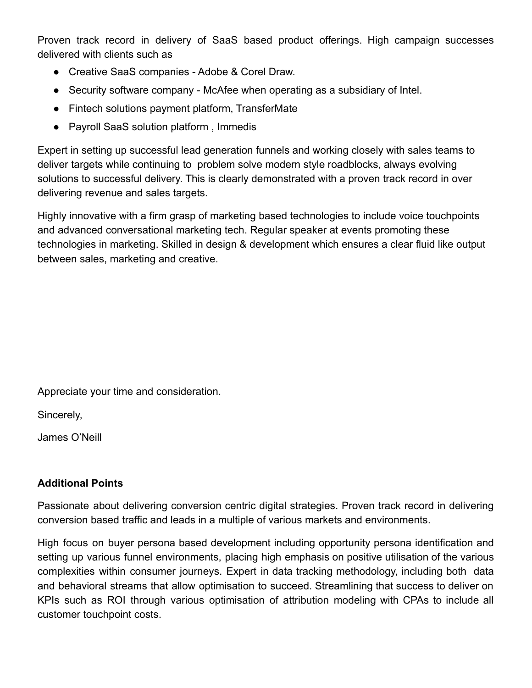Proven track record in delivery of SaaS based product offerings. High campaign successes delivered with clients such as

- Creative SaaS companies Adobe & Corel Draw.
- Security software company McAfee when operating as a subsidiary of Intel.
- Fintech solutions payment platform, TransferMate
- Payroll SaaS solution platform , Immedis

Expert in setting up successful lead generation funnels and working closely with sales teams to deliver targets while continuing to problem solve modern style roadblocks, always evolving solutions to successful delivery. This is clearly demonstrated with a proven track record in over delivering revenue and sales targets.

Highly innovative with a firm grasp of marketing based technologies to include voice touchpoints and advanced conversational marketing tech. Regular speaker at events promoting these technologies in marketing. Skilled in design & development which ensures a clear fluid like output between sales, marketing and creative.

Appreciate your time and consideration.

Sincerely,

James O'Neill

# **Additional Points**

Passionate about delivering conversion centric digital strategies. Proven track record in delivering conversion based traffic and leads in a multiple of various markets and environments.

High focus on buyer persona based development including opportunity persona identification and setting up various funnel environments, placing high emphasis on positive utilisation of the various complexities within consumer journeys. Expert in data tracking methodology, including both data and behavioral streams that allow optimisation to succeed. Streamlining that success to deliver on KPIs such as ROI through various optimisation of attribution modeling with CPAs to include all customer touchpoint costs.